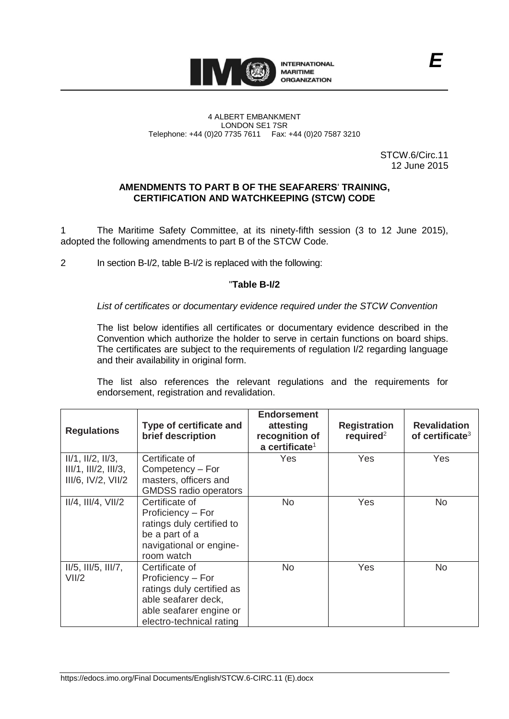

#### 4 ALBERT EMBANKMENT LONDON SE1 7SR Telephone: +44 (0)20 7735 7611 Fax: +44 (0)20 7587 3210

STCW.6/Circ.11 12 June 2015

#### **AMENDMENTS TO PART B OF THE SEAFARERS**' **TRAINING, CERTIFICATION AND WATCHKEEPING (STCW) CODE**

1 The Maritime Safety Committee, at its ninety-fifth session (3 to 12 June 2015), adopted the following amendments to part B of the STCW Code.

2 In section B-I/2, table B-I/2 is replaced with the following:

# "**Table B-I/2**

*List of certificates or documentary evidence required under the STCW Convention*

The list below identifies all certificates or documentary evidence described in the Convention which authorize the holder to serve in certain functions on board ships. The certificates are subject to the requirements of regulation I/2 regarding language and their availability in original form.

The list also references the relevant regulations and the requirements for endorsement, registration and revalidation.

| <b>Regulations</b>                    | Type of certificate and<br>brief description                                                                                                   | <b>Endorsement</b><br>attesting<br>recognition of<br>a certificate <sup>1</sup> | <b>Registration</b><br>required <sup>2</sup> | <b>Revalidation</b><br>of certificate <sup>3</sup> |
|---------------------------------------|------------------------------------------------------------------------------------------------------------------------------------------------|---------------------------------------------------------------------------------|----------------------------------------------|----------------------------------------------------|
| $II/1$ , $II/2$ , $II/3$ ,            | Certificate of                                                                                                                                 | Yes                                                                             | Yes                                          | Yes                                                |
| III/1, III/2, III/3,                  | Competency - For                                                                                                                               |                                                                                 |                                              |                                                    |
| $III/6$ , $IV/2$ , $VII/2$            | masters, officers and<br><b>GMDSS radio operators</b>                                                                                          |                                                                                 |                                              |                                                    |
| $II/4$ , $III/4$ , $VII/2$            | Certificate of<br>Proficiency - For<br>ratings duly certified to<br>be a part of a<br>navigational or engine-<br>room watch                    | N <sub>o</sub>                                                                  | <b>Yes</b>                                   | <b>No</b>                                          |
| $II/5$ , $III/5$ , $III/7$ ,<br>VII/2 | Certificate of<br>Proficiency - For<br>ratings duly certified as<br>able seafarer deck,<br>able seafarer engine or<br>electro-technical rating | <b>No</b>                                                                       | Yes                                          | <b>No</b>                                          |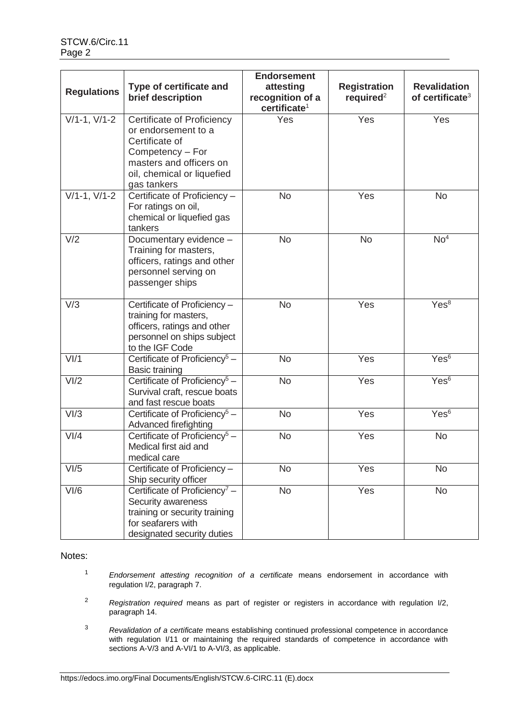|                    |                                                                                                                                                                        | <b>Endorsement</b>                                        |                                              |                                                    |
|--------------------|------------------------------------------------------------------------------------------------------------------------------------------------------------------------|-----------------------------------------------------------|----------------------------------------------|----------------------------------------------------|
| <b>Regulations</b> | Type of certificate and<br>brief description                                                                                                                           | attesting<br>recognition of a<br>certificate <sup>1</sup> | <b>Registration</b><br>required <sup>2</sup> | <b>Revalidation</b><br>of certificate <sup>3</sup> |
| $V/1-1$ , $V/1-2$  | <b>Certificate of Proficiency</b><br>or endorsement to a<br>Certificate of<br>Competency - For<br>masters and officers on<br>oil, chemical or liquefied<br>gas tankers | Yes                                                       | Yes                                          | Yes                                                |
| $V/1-1, V/1-2$     | Certificate of Proficiency -<br>For ratings on oil,<br>chemical or liquefied gas<br>tankers                                                                            | <b>No</b>                                                 | Yes                                          | <b>No</b>                                          |
| V/2                | Documentary evidence -<br>Training for masters,<br>officers, ratings and other<br>personnel serving on<br>passenger ships                                              | <b>No</b>                                                 | <b>No</b>                                    | No <sup>4</sup>                                    |
| V/3                | Certificate of Proficiency -<br>training for masters,<br>officers, ratings and other<br>personnel on ships subject<br>to the IGF Code                                  | <b>No</b>                                                 | Yes                                          | Yes <sup>8</sup>                                   |
| V <sub>1</sub> /1  | Certificate of Proficiency <sup>5</sup> -<br><b>Basic training</b>                                                                                                     | <b>No</b>                                                 | Yes                                          | Yes <sup>6</sup>                                   |
| VI/2               | Certificate of Proficiency <sup>5</sup> -<br>Survival craft, rescue boats<br>and fast rescue boats                                                                     | <b>No</b>                                                 | Yes                                          | Yes <sup>6</sup>                                   |
| V <sub>1/3</sub>   | Certificate of Proficiency <sup>5</sup> -<br>Advanced firefighting                                                                                                     | <b>No</b>                                                 | Yes                                          | Yes <sup>6</sup>                                   |
| V <sub>1</sub> /4  | Certificate of Proficiency <sup>5</sup> -<br>Medical first aid and<br>medical care                                                                                     | <b>No</b>                                                 | Yes                                          | <b>No</b>                                          |
| VI/5               | Certificate of Proficiency -<br>Ship security officer                                                                                                                  | <b>No</b>                                                 | Yes                                          | <b>No</b>                                          |
| VI/6               | Certificate of Proficiency <sup>7</sup> -<br>Security awareness<br>training or security training<br>for seafarers with<br>designated security duties                   | <b>No</b>                                                 | Yes                                          | <b>No</b>                                          |

Notes:

- <sup>1</sup> *Endorsement attesting recognition of a certificate* means endorsement in accordance with regulation I/2, paragraph 7.
- <sup>2</sup> *Registration required* means as part of register or registers in accordance with regulation I/2, paragraph 14.
- <sup>3</sup> *Revalidation of a certificate* means establishing continued professional competence in accordance with regulation I/11 or maintaining the required standards of competence in accordance with sections A-V/3 and A-VI/1 to A-VI/3, as applicable.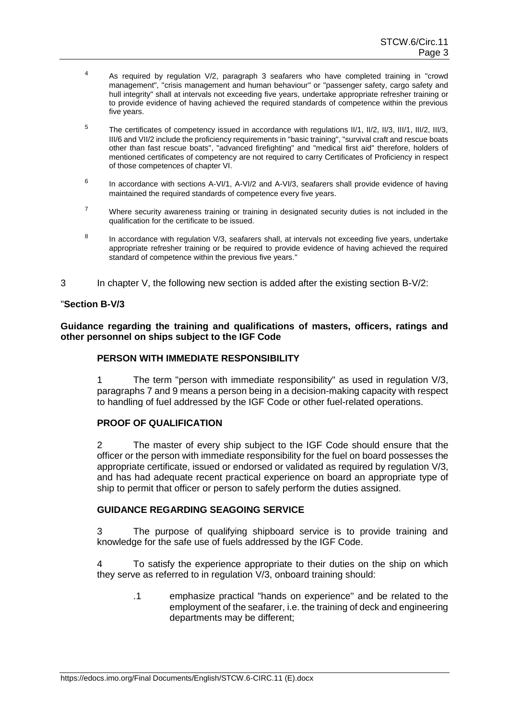- $4$  As required by regulation V/2, paragraph 3 seafarers who have completed training in "crowd" management", "crisis management and human behaviour" or "passenger safety, cargo safety and hull integrity" shall at intervals not exceeding five years, undertake appropriate refresher training or to provide evidence of having achieved the required standards of competence within the previous five years.
- <sup>5</sup> The certificates of competency issued in accordance with regulations II/1, II/2, II/3, III/1, III/2, III/3, III/6 and VII/2 include the proficiency requirements in "basic training", "survival craft and rescue boats other than fast rescue boats", "advanced firefighting" and "medical first aid" therefore, holders of mentioned certificates of competency are not required to carry Certificates of Proficiency in respect of those competences of chapter VI.
- 6 In accordance with sections A-VI/1, A-VI/2 and A-VI/3, seafarers shall provide evidence of having maintained the required standards of competence every five years.
- $7$  Where security awareness training or training in designated security duties is not included in the qualification for the certificate to be issued.
- 8 In accordance with regulation V/3, seafarers shall, at intervals not exceeding five years, undertake appropriate refresher training or be required to provide evidence of having achieved the required standard of competence within the previous five years."
- 3 In chapter V, the following new section is added after the existing section B-V/2:

### "**Section B-V/3**

**Guidance regarding the training and qualifications of masters, officers, ratings and other personnel on ships subject to the IGF Code**

#### **PERSON WITH IMMEDIATE RESPONSIBILITY**

1 The term "person with immediate responsibility" as used in regulation V/3, paragraphs 7 and 9 means a person being in a decision-making capacity with respect to handling of fuel addressed by the IGF Code or other fuel-related operations.

#### **PROOF OF QUALIFICATION**

2 The master of every ship subject to the IGF Code should ensure that the officer or the person with immediate responsibility for the fuel on board possesses the appropriate certificate, issued or endorsed or validated as required by regulation V/3, and has had adequate recent practical experience on board an appropriate type of ship to permit that officer or person to safely perform the duties assigned.

## **GUIDANCE REGARDING SEAGOING SERVICE**

The purpose of qualifying shipboard service is to provide training and knowledge for the safe use of fuels addressed by the IGF Code.

4 To satisfy the experience appropriate to their duties on the ship on which they serve as referred to in regulation [V/3,](http://vp.imo.org/Customer/Subscriptions/IMOVEGA/MemberPages/IMODocument.aspx?docId=ST100501ABA) onboard training should:

> .1 emphasize practical "hands on experience" and be related to the employment of the seafarer, i.e. the training of deck and engineering departments may be different;